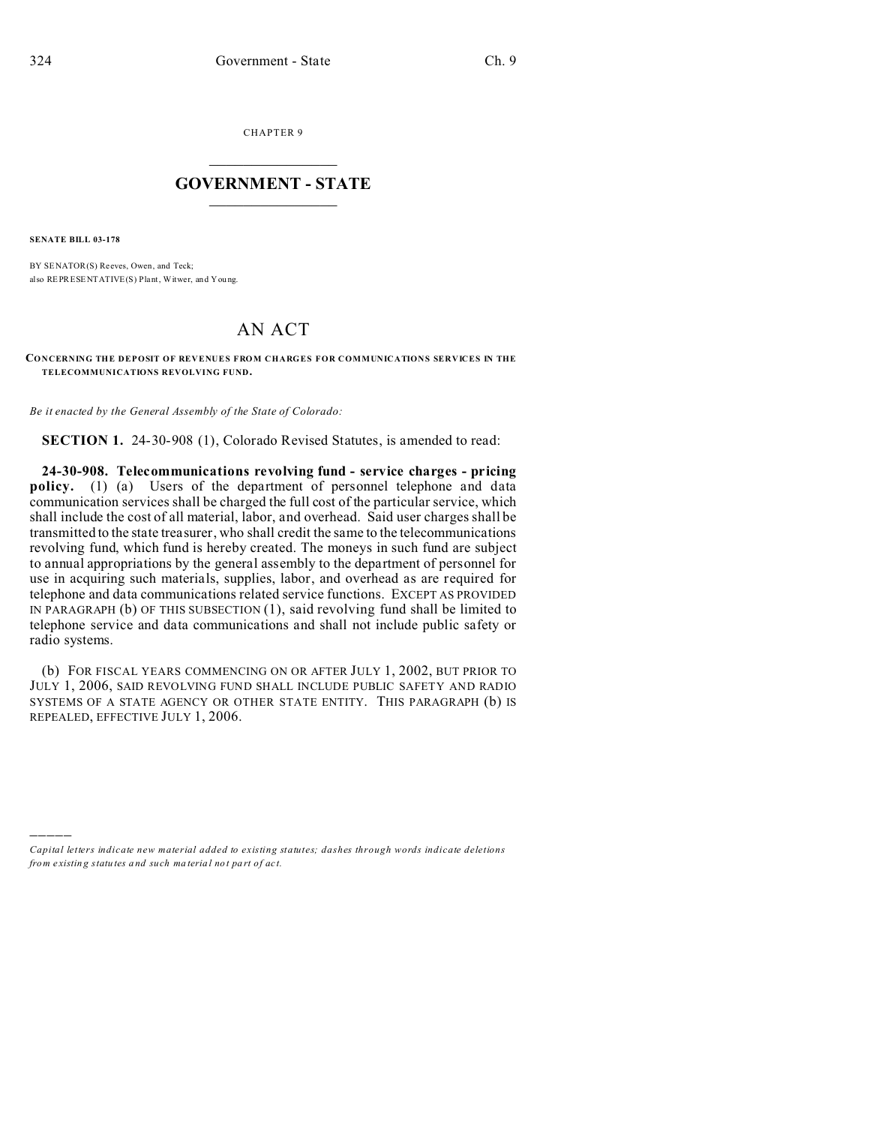CHAPTER 9  $\overline{\phantom{a}}$  , where  $\overline{\phantom{a}}$ 

## **GOVERNMENT - STATE**  $\_$   $\_$

**SENATE BILL 03-178**

)))))

BY SENATOR(S) Reeves, Owen, and Teck; also REPRESENTATIVE(S) Plant, Witwer, and You ng.

## AN ACT

**CONCERNING THE DEPOSIT OF REVENUES FROM CHARGES FOR COMMUNICATIONS SERVICES IN THE TELECOMMUNICATIONS REVOLVING FUND.**

*Be it enacted by the General Assembly of the State of Colorado:*

**SECTION 1.** 24-30-908 (1), Colorado Revised Statutes, is amended to read:

**24-30-908. Telecommunications revolving fund - service charges - pricing policy.** (1) (a) Users of the department of personnel telephone and data communication services shall be charged the full cost of the particular service, which shall include the cost of all material, labor, and overhead. Said user charges shall be transmitted to the state treasurer, who shall credit the same to the telecommunications revolving fund, which fund is hereby created. The moneys in such fund are subject to annual appropriations by the general assembly to the department of personnel for use in acquiring such materials, supplies, labor, and overhead as are required for telephone and data communications related service functions. EXCEPT AS PROVIDED IN PARAGRAPH (b) OF THIS SUBSECTION (1), said revolving fund shall be limited to telephone service and data communications and shall not include public safety or radio systems.

(b) FOR FISCAL YEARS COMMENCING ON OR AFTER JULY 1, 2002, BUT PRIOR TO JULY 1, 2006, SAID REVOLVING FUND SHALL INCLUDE PUBLIC SAFETY AND RADIO SYSTEMS OF A STATE AGENCY OR OTHER STATE ENTITY. THIS PARAGRAPH (b) IS REPEALED, EFFECTIVE JULY 1, 2006.

*Capital letters indicate new material added to existing statutes; dashes through words indicate deletions from e xistin g statu tes a nd such ma teria l no t pa rt of ac t.*